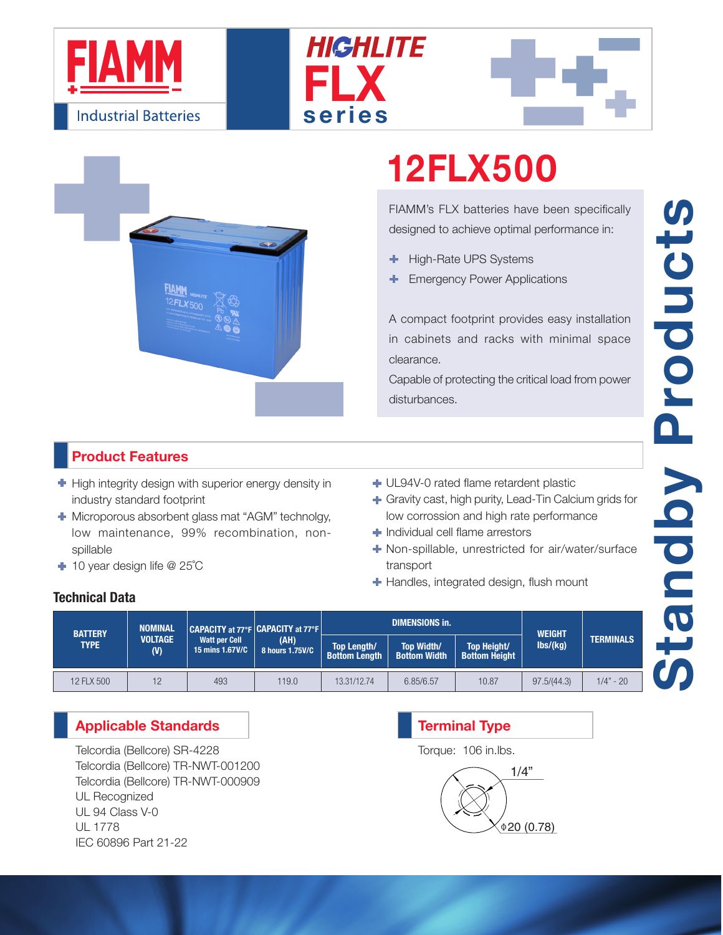







# 12FLX500

FIAMM's FLX batteries have been specifically designed to achieve optimal performance in:

- High-Rate UPS Systems ٠
- Emergency Power Applications

A compact footprint provides easy installation in cabinets and racks with minimal space clearance.

Capable of protecting the critical load from power disturbances.

### Product Features

- $\blacksquare$  High integrity design with superior energy density in industry standard footprint
- **+** Microporous absorbent glass mat "AGM" technolgy, low maintenance, 99% recombination, nonspillable
- 10 year design life @ 25˚C
- UL94V-0 rated flame retardent plastic
- Gravity cast, high purity, Lead-Tin Calcium grids for low corrossion and high rate performance
- Individual cell flame arrestors
- Non-spillable, unrestricted for air/water/surface transport
- $\blacksquare$  Handles, integrated design, flush mount

### Technical Data

| <b>BATTERY</b><br><b>TYPE</b> | <b>NOMINAL</b><br><b>VOLTAGE</b><br>(V) | CAPACITY at 77°F CAPACITY at 77°F<br><b>Watt per Cell</b><br>15 mins 1.67V/C | (AH)<br>8 hours 1.75V/C |                                     | <b>DIMENSIONS in.</b>                    | <b>WEIGHT</b>                              |                              |                  |
|-------------------------------|-----------------------------------------|------------------------------------------------------------------------------|-------------------------|-------------------------------------|------------------------------------------|--------------------------------------------|------------------------------|------------------|
|                               |                                         |                                                                              |                         | Top Length/<br><b>Bottom Length</b> | <b>Top Width/</b><br><b>Bottom Width</b> | <b>Top Height/</b><br><b>Bottom Height</b> | $\mathsf{lbs}/\mathsf{(kg)}$ | <b>TERMINALS</b> |
| 12 FLX 500                    | 12                                      | 493                                                                          | 119.0                   | 13.31/12.74                         | 6.85/6.57                                | 10.87                                      | 97.5/(44.3)                  | $1/4" - 20$      |

### Applicable Standards

Telcordia (Bellcore) SR-4228 Telcordia (Bellcore) TR-NWT-001200 Telcordia (Bellcore) TR-NWT-000909 UL Recognized UL 94 Class V-0 UL 1778 IEC 60896 Part 21-22

## 1/4"  $0.78$ Terminal Type Torque: 106 in.lbs.